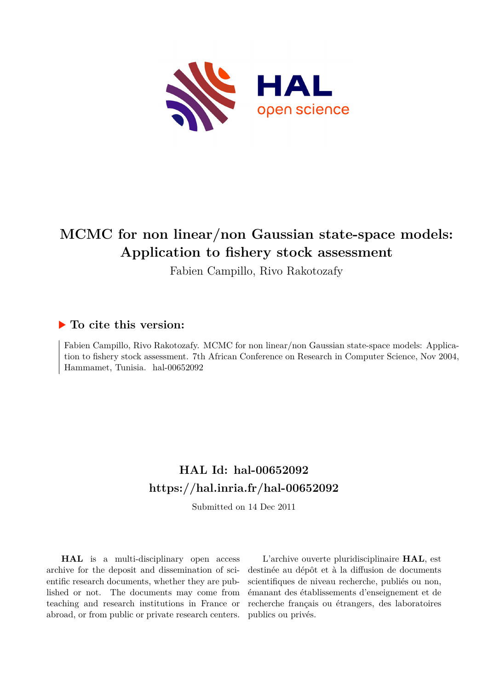

# **MCMC for non linear/non Gaussian state-space models: Application to fishery stock assessment**

Fabien Campillo, Rivo Rakotozafy

## **To cite this version:**

Fabien Campillo, Rivo Rakotozafy. MCMC for non linear/non Gaussian state-space models: Application to fishery stock assessment. 7th African Conference on Research in Computer Science, Nov 2004, Hammamet, Tunisia. hal-00652092

## **HAL Id: hal-00652092 <https://hal.inria.fr/hal-00652092>**

Submitted on 14 Dec 2011

**HAL** is a multi-disciplinary open access archive for the deposit and dissemination of scientific research documents, whether they are published or not. The documents may come from teaching and research institutions in France or abroad, or from public or private research centers.

L'archive ouverte pluridisciplinaire **HAL**, est destinée au dépôt et à la diffusion de documents scientifiques de niveau recherche, publiés ou non, émanant des établissements d'enseignement et de recherche français ou étrangers, des laboratoires publics ou privés.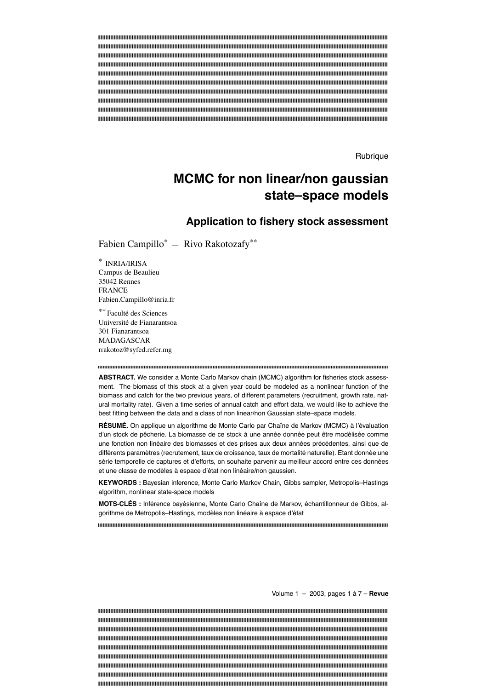Rubrique

## **MCMC for non linear/non gaussian state–space models**

## **Application to fishery stock assessment**

Fabien Campillo\* — Rivo Rakotozafy\*\*

\* INRIA/IRISA Campus de Beaulieu 35042 Rennes FRANCE Fabien.Campillo@inria.fr

\*\* Faculté des Sciences Université de Fianarantsoa 301 Fianarantsoa MADAGASCAR rrakotoz@syfed.refer.mg

**ABSTRACT.** We consider a Monte Carlo Markov chain (MCMC) algorithm for fisheries stock assessment. The biomass of this stock at a given year could be modeled as a nonlinear function of the biomass and catch for the two previous years, of different parameters (recruitment, growth rate, natural mortality rate). Given a time series of annual catch and effort data, we would like to achieve the best fitting between the data and a class of non linear/non Gaussian state–space models.

**RÉSUMÉ.** On applique un algorithme de Monte Carlo par Chaîne de Markov (MCMC) à l'évaluation d'un stock de pêcherie. La biomasse de ce stock à une année donnée peut être modélisée comme une fonction non linéaire des biomasses et des prises aux deux années précédentes, ainsi que de différents paramètres (recrutement, taux de croissance, taux de mortalité naturelle). Etant donnée une série temporelle de captures et d'efforts, on souhaite parvenir au meilleur accord entre ces données et une classe de modèles à espace d'état non linéaire/non gaussien.

**KEYWORDS :** Bayesian inference, Monte Carlo Markov Chain, Gibbs sampler, Metropolis–Hastings algorithm, nonlinear state-space models

**MOTS-CLÉS :** Inférence bayésienne, Monte Carlo Chaîne de Markov, échantillonneur de Gibbs, algorithme de Metropolis–Hastings, modèles non linéaire à espace d'état

Volume 1 – 2003, pages 1 à 7 – **Revue**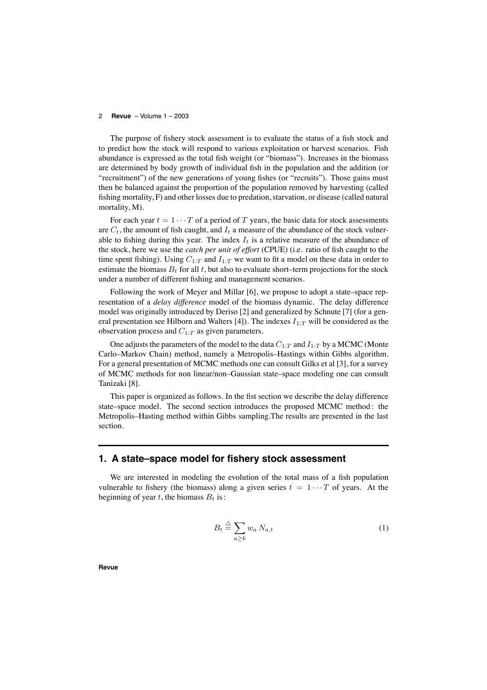The purpose of fishery stock assessment is to evaluate the status of a fish stock and to predict how the stock will respond to various exploitation or harvest scenarios. Fish abundance is expressed as the total fish weight (or "biomass"). Increases in the biomass are determined by body growth of individual fish in the population and the addition (or "recruitment") of the new generations of young fishes (or "recruits"). Those gains must then be balanced against the proportion of the population removed by harvesting (called fishing mortality, F) and other losses due to predation, starvation, or disease (called natural mortality, M).

For each year  $t = 1 \cdots T$  of a period of T years, the basic data for stock assessments are  $C_t$ , the amount of fish caught, and  $I_t$  a measure of the abundance of the stock vulnerable to fishing during this year. The index  $I_t$  is a relative measure of the abundance of the stock, here we use the *catch per unit of effort* (CPUE) (i.e. ratio of fish caught to the time spent fishing). Using  $C_{1:T}$  and  $I_{1:T}$  we want to fit a model on these data in order to estimate the biomass  $B_t$  for all t, but also to evaluate short–term projections for the stock under a number of different fishing and management scenarios.

Following the work of Meyer and Millar [6], we propose to adopt a state–space representation of a *delay difference* model of the biomass dynamic. The delay difference model was originally introduced by Deriso [2] and generalized by Schnute [7] (for a general presentation see Hilborn and Walters [4]). The indexes  $I_1 \tau$  will be considered as the observation process and  $C_{1:T}$  as given parameters.

One adjusts the parameters of the model to the data  $C_{1:T}$  and  $I_{1:T}$  by a MCMC (Monte Carlo–Markov Chain) method, namely a Metropolis–Hastings within Gibbs algorithm. For a general presentation of MCMC methods one can consult Gilks et al [3], for a survey of MCMC methods for non linear/non–Gaussian state–space modeling one can consult Tanizaki [8].

This paper is organized as follows. In the fist section we describe the delay difference state–space model. The second section introduces the proposed MCMC method : the Metropolis–Hasting method within Gibbs sampling.The results are presented in the last section.

### **1. A state–space model for fishery stock assessment**

We are interested in modeling the evolution of the total mass of a fish population vulnerable to fishery (the biomass) along a given series  $t = 1 \cdots T$  of years. At the beginning of year t, the biomass  $B_t$  is:

$$
B_t \stackrel{\triangle}{=} \sum_{a \ge k} w_a N_{a,t} \tag{1}
$$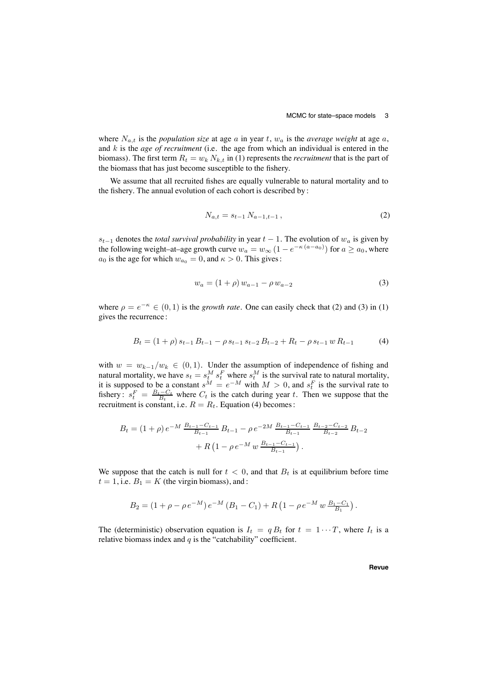where  $N_{a,t}$  is the *population size* at age a in year t,  $w_a$  is the *average* weight at age a, and k is the *age of recruitment* (i.e. the age from which an individual is entered in the biomass). The first term  $R_t = w_k N_{k,t}$  in (1) represents the *recruitment* that is the part of the biomass that has just become susceptible to the fishery.

We assume that all recruited fishes are equally vulnerable to natural mortality and to the fishery. The annual evolution of each cohort is described by :

$$
N_{a,t} = s_{t-1} N_{a-1,t-1}, \qquad (2)
$$

 $s_{t-1}$  denotes the *total survival probability* in year  $t - 1$ . The evolution of  $w_a$  is given by the following weight–at–age growth curve  $w_a = w_\infty \left(1 - e^{-\kappa (a-a_0)}\right)$  for  $a \ge a_0$ , where  $a_0$  is the age for which  $w_{a_0} = 0$ , and  $\kappa > 0$ . This gives:

$$
w_a = (1 + \rho) w_{a-1} - \rho w_{a-2} \tag{3}
$$

where  $\rho = e^{-\kappa} \in (0, 1)$  is the *growth rate*. One can easily check that (2) and (3) in (1) gives the recurrence :

$$
B_t = (1+\rho) s_{t-1} B_{t-1} - \rho s_{t-1} s_{t-2} B_{t-2} + R_t - \rho s_{t-1} w R_{t-1}
$$
 (4)

with  $w = w_{k-1}/w_k \in (0,1)$ . Under the assumption of independence of fishing and natural mortality, we have  $s_t = s_t^M s_t^F$  where  $s_t^M$  is the survival rate to natural mortality, it is supposed to be a constant  $s^M = e^{-M}$  with  $M > 0$ , and  $s_t^F$  is the survival rate to fishery:  $s_t^F = \frac{B_t - C_t}{B_t}$  where  $C_t$  is the catch during year t. Then we suppose that the recruitment is constant, i.e.  $R = R_t$ . Equation (4) becomes:

$$
B_t = (1 + \rho) e^{-M} \frac{B_{t-1} - C_{t-1}}{B_{t-1}} B_{t-1} - \rho e^{-2M} \frac{B_{t-1} - C_{t-1}}{B_{t-1}} \frac{B_{t-2} - C_{t-2}}{B_{t-2}} B_{t-2} + R \left( 1 - \rho e^{-M} w \frac{B_{t-1} - C_{t-1}}{B_{t-1}} \right).
$$

We suppose that the catch is null for  $t < 0$ , and that  $B_t$  is at equilibrium before time  $t = 1$ , i.e.  $B_1 = K$  (the virgin biomass), and:

$$
B_2 = (1 + \rho - \rho e^{-M}) e^{-M} (B_1 - C_1) + R (1 - \rho e^{-M} w \frac{B_1 - C_1}{B_1}).
$$

The (deterministic) observation equation is  $I_t = q B_t$  for  $t = 1 \cdots T$ , where  $I_t$  is a relative biomass index and  $q$  is the "catchability" coefficient.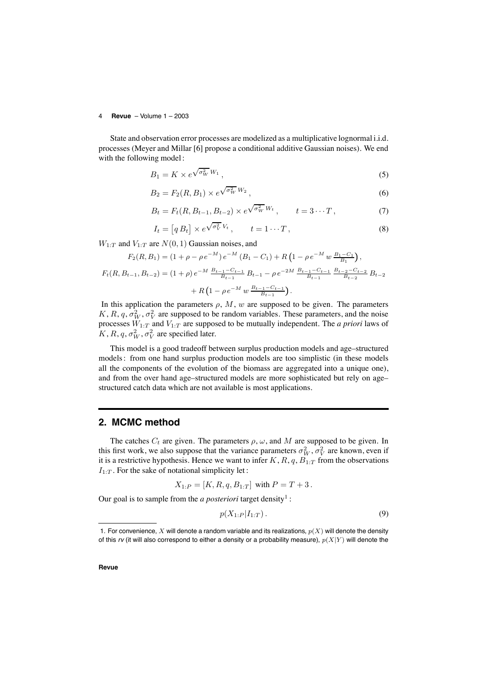State and observation error processes are modelized as a multiplicative lognormal i.i.d. processes (Meyer and Millar [6] propose a conditional additive Gaussian noises). We end with the following model :

$$
B_1 = K \times e^{\sqrt{\sigma_W^2} W_1},\tag{5}
$$

$$
B_2 = F_2(R, B_1) \times e^{\sqrt{\sigma_W^2} W_2}, \qquad (6)
$$

$$
B_t = F_t(R, B_{t-1}, B_{t-2}) \times e^{\sqrt{\sigma_W^2} W_t}, \qquad t = 3 \cdots T, \tag{7}
$$

$$
I_t = [q B_t] \times e^{\sqrt{\sigma_V^2} V_t}, \qquad t = 1 \cdots T,
$$
\n(8)

 $W_{1:T}$  and  $V_{1:T}$  are  $N(0, 1)$  Gaussian noises, and

$$
F_2(R, B_1) = (1 + \rho - \rho e^{-M}) e^{-M} (B_1 - C_1) + R \left( 1 - \rho e^{-M} w \frac{B_1 - C_1}{B_1} \right),
$$
  

$$
F_t(R, B_{t-1}, B_{t-2}) = (1 + \rho) e^{-M} \frac{B_{t-1} - C_{t-1}}{B_{t-1}} B_{t-1} - \rho e^{-2M} \frac{B_{t-1} - C_{t-1}}{B_{t-1}} \frac{B_{t-2} - C_{t-2}}{B_{t-2}} B_{t-2}
$$

+ 
$$
R\left(1 - \rho e^{-M} w \frac{B_{t-1} - C_{t-1}}{B_{t-1}}\right)
$$
.

In this application the parameters  $\rho$ ,  $M$ ,  $w$  are supposed to be given. The parameters K, R, q,  $\sigma_W^2$ ,  $\sigma_V^2$  are supposed to be random variables. These parameters, and the noise processes  $W_{1:T}$  and  $V_{1:T}$  are supposed to be mutually independent. The *a priori* laws of  $K, R, q, \sigma_W^2, \sigma_V^2$  are specified later.

This model is a good tradeoff between surplus production models and age–structured models: from one hand surplus production models are too simplistic (in these models all the components of the evolution of the biomass are aggregated into a unique one), and from the over hand age–structured models are more sophisticated but rely on age– structured catch data which are not available is most applications.

## **2. MCMC method**

The catches  $C_t$  are given. The parameters  $\rho$ ,  $\omega$ , and M are supposed to be given. In this first work, we also suppose that the variance parameters  $\sigma_W^2$ ,  $\sigma_V^2$  are known, even if it is a restrictive hypothesis. Hence we want to infer  $K$ ,  $R$ ,  $q$ ,  $B_{1:T}$  from the observations  $I_{1:T}$ . For the sake of notational simplicity let:

$$
X_{1:P} = [K, R, q, B_{1:T}]
$$
 with  $P = T + 3$ .

Our goal is to sample from the *a posteriori* target density<sup>1</sup>:

$$
p(X_{1:P}|I_{1:T})\,.
$$
 (9)

<sup>1.</sup> For convenience, X will denote a random variable and its realizations,  $p(X)$  will denote the density of this  $r\nu$  (it will also correspond to either a density or a probability measure),  $p(X|Y)$  will denote the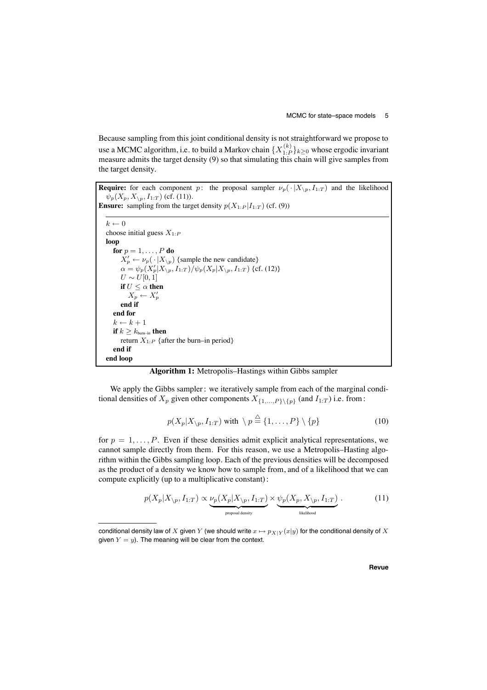Because sampling from this joint conditional density is not straightforward we propose to use a MCMC algorithm, i.e. to build a Markov chain  $\{X_{1:P}^{(k)}\}_{k\geq 0}$  whose ergodic invariant measure admits the target density (9) so that simulating this chain will give samples from the target density.

**Require:** for each component p: the proposal sampler  $\nu_p(\cdot | X_{\backslash p}, I_{1:T})$  and the likelihood  $\psi_p(X_p, X_{\setminus p}, I_{1:T})$  (cf. (11)).

**Ensure:** sampling from the target density  $p(X_{1:P}|I_{1:T})$  (cf. (9))

```
k \leftarrow 0choose initial guess X_{1:P}loop
   for p = 1, \ldots, P do
       X'_p \leftarrow \nu_p(\cdot | X_{\setminus p}) {sample the new candidate}
       \alpha = \psi_p(X'_p | X_{\setminus p}, I_{1:T}) / \psi_p(X_p | X_{\setminus p}, I_{1:T}) {cf. (12)}
       U \sim U[0, 1]if U \leq \alpha then
           X_p \leftarrow X'_pend if
   end for
   k \leftarrow k + 1if k \geq k_{\text{burn-in}} then
       return X_{1:P} {after the burn–in period}
   end if
end loop
```
**Algorithm 1:** Metropolis–Hastings within Gibbs sampler

We apply the Gibbs sampler: we iteratively sample from each of the marginal conditional densities of  $X_p$  given other components  $X_{\{1,\ldots,P\}\{p\}}$  (and  $I_{1:T}$ ) i.e. from:

$$
p(X_p|X_{\backslash p}, I_{1:T}) \text{ with } \backslash p \stackrel{\triangle}{=} \{1, \dots, P\} \backslash \{p\} \tag{10}
$$

for  $p = 1, \ldots, P$ . Even if these densities admit explicit analytical representations, we cannot sample directly from them. For this reason, we use a Metropolis–Hasting algorithm within the Gibbs sampling loop. Each of the previous densities will be decomposed as the product of a density we know how to sample from, and of a likelihood that we can compute explicitly (up to a multiplicative constant):

$$
p(X_p|X_{\backslash p}, I_{1:T}) \propto \underbrace{\nu_p(X_p|X_{\backslash p}, I_{1:T})}_{\text{proposal density}} \times \underbrace{\psi_p(X_p, X_{\backslash p}, I_{1:T})}_{\text{likelihood}}.
$$
 (11)

conditional density law of X given Y (we should write  $x \mapsto p_{X|Y}(x|y)$  for the conditional density of X given  $Y = y$ ). The meaning will be clear from the context.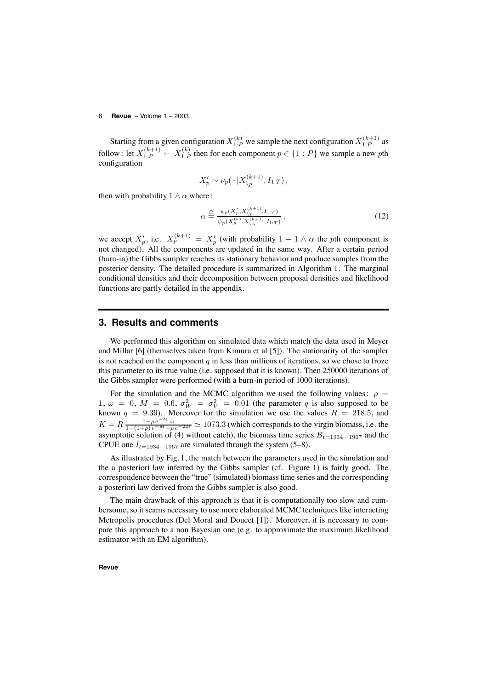Starting from a given configuration  $X_{1:P}^{(k)}$  we sample the next configuration  $X_{1:P}^{(k+1)}$  as follow : let  $X_{1:P}^{(k+1)} \leftarrow X_{1:P}^{(k)}$  then for each component  $p \in \{1:P\}$  we sample a new pth configuration

$$
X'_p \sim \nu_p(\cdot \, | X_{\backslash p}^{(k+1)}, I_{1:T}),
$$

then with probability  $1 \wedge \alpha$  where :

$$
\alpha \triangleq \frac{\psi_p(X_p', X_{\backslash p}^{(k+1)}, I_{1:T})}{\psi_p(X_p^{(k)}, X_{\backslash p}^{(k+1)}, I_{1:T})},
$$
\n(12)

we accept  $X'_p$ , i.e.  $X_p^{(k+1)} = X'_p$  (with probability  $1 - 1 \wedge \alpha$  the pth component is not changed). All the components are updated in the same way. After a certain period (burn-in) the Gibbs sampler reaches its stationary behavior and produce samples from the posterior density. The detailed procedure is summarized in Algorithm 1. The marginal conditional densities and their decomposition between proposal densities and likelihood functions are partly detailed in the appendix.

### **3. Results and comments**

We performed this algorithm on simulated data which match the data used in Meyer and Millar [6] (themselves taken from Kimura et al [5]). The stationarity of the sampler is not reached on the component  $q$  in less than millions of iterations, so we chose to froze this parameter to its true value (i.e. supposed that it is known). Then 250000 iterations of the Gibbs sampler were performed (with a burn-in period of 1000 iterations).

For the simulation and the MCMC algorithm we used the following values:  $\rho =$ 1,  $\omega = 0$ ,  $M = 0.6$ ,  $\sigma_W^2 = \sigma_V^2 = 0.01$  (the parameter q is also supposed to be known  $q = 9.39$ . Moreover for the simulation we use the values  $R = 218.5$ , and  $K = R \frac{1 - \rho e^{-M} \omega}{1 - (1 + \rho)e^{-M} + \rho e^{-2M}} \simeq 1073.3$  (which corresponds to the virgin biomass, i.e. the asymptotic solution of (4) without catch), the biomass time series  $B_{t=1934\cdots1967}$  and the CPUE one  $I_{t=1934\cdots 1967}$  are simulated through the system (5–8).

As illustrated by Fig. 1, the match between the parameters used in the simulation and the a posteriori law inferred by the Gibbs sampler (cf. Figure 1) is fairly good. The correspondence between the "true" (simulated) biomasstime series and the corresponding a posteriori law derived from the Gibbs sampler is also good.

The main drawback of this approach is that it is computationally too slow and cumbersome, so it seams necessary to use more elaborated MCMC techniques like interacting Metropolis procedures (Del Moral and Doucet [1]). Moreover, it is necessary to compare this approach to a non Bayesian one (e.g. to approximate the maximum likelihood estimator with an EM algorithm).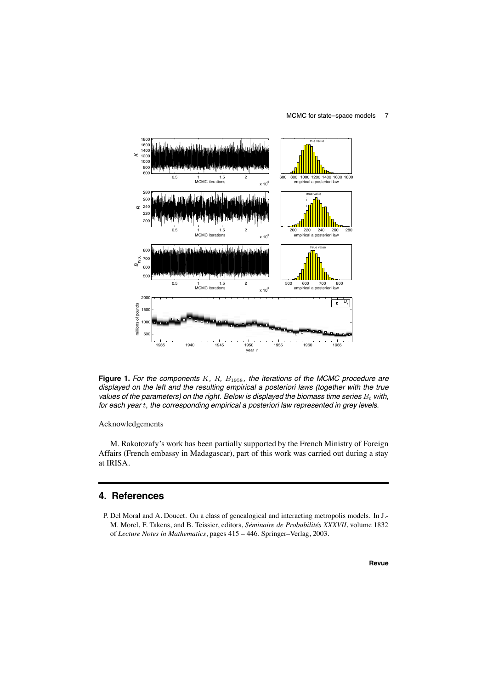#### MCMC for state–space models 7



**Figure 1.** *For the components* K*,* R*,* B1958*, the iterations of the MCMC procedure are displayed on the left and the resulting empirical a posteriori laws (together with the true values of the parameters) on the right. Below is displayed the biomass time series* B<sup>t</sup> *with, for each year* t*, the corresponding empirical a posteriori law represented in grey levels.*

#### Acknowledgements

M. Rakotozafy's work has been partially supported by the French Ministry of Foreign Affairs (French embassy in Madagascar), part of this work was carried out during a stay at IRISA.

## **4. References**

P. Del Moral and A. Doucet. On a class of genealogical and interacting metropolis models. In J.- M. Morel, F. Takens, and B. Teissier, editors, *Séminaire de Probabilités XXXVII*, volume 1832 of *Lecture Notes in Mathematics*, pages 415 – 446. Springer–Verlag, 2003.